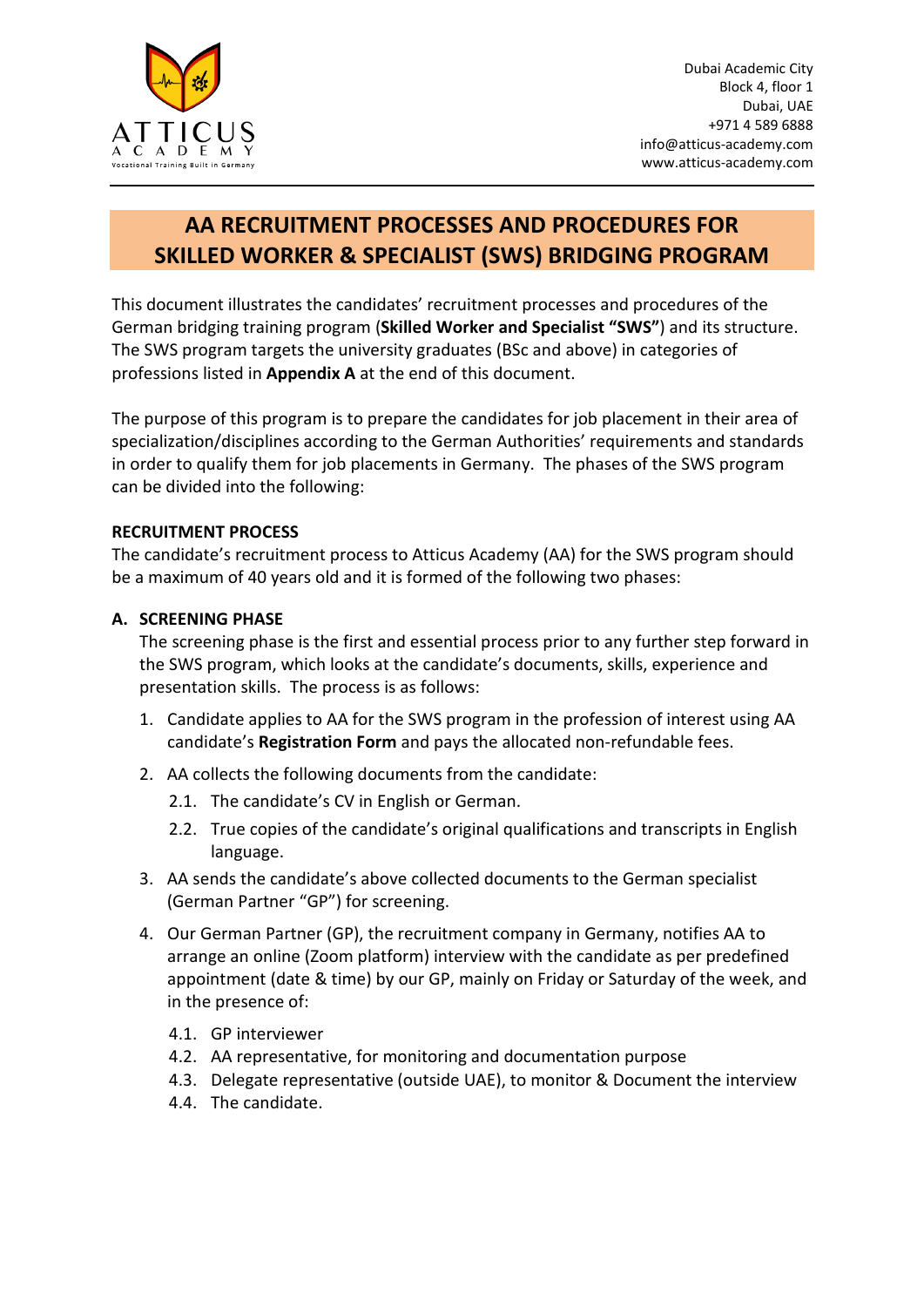

## **AA RECRUITMENT PROCESSES AND PROCEDURES FOR SKILLED WORKER & SPECIALIST (SWS) BRIDGING PROGRAM**

This document illustrates the candidates' recruitment processes and procedures of the German bridging training program (**Skilled Worker and Specialist "SWS"**) and its structure. The SWS program targets the university graduates (BSc and above) in categories of professions listed in **Appendix A** at the end of this document.

The purpose of this program is to prepare the candidates for job placement in their area of specialization/disciplines according to the German Authorities' requirements and standards in order to qualify them for job placements in Germany. The phases of the SWS program can be divided into the following:

## **RECRUITMENT PROCESS**

The candidate's recruitment process to Atticus Academy (AA) for the SWS program should be a maximum of 40 years old and it is formed of the following two phases:

#### **A. SCREENING PHASE**

The screening phase is the first and essential process prior to any further step forward in the SWS program, which looks at the candidate's documents, skills, experience and presentation skills. The process is as follows:

- 1. Candidate applies to AA for the SWS program in the profession of interest using AA candidate's **Registration Form** and pays the allocated non-refundable fees.
- 2. AA collects the following documents from the candidate:
	- 2.1. The candidate's CV in English or German.
	- 2.2. True copies of the candidate's original qualifications and transcripts in English language.
- 3. AA sends the candidate's above collected documents to the German specialist (German Partner "GP") for screening.
- 4. Our German Partner (GP), the recruitment company in Germany, notifies AA to arrange an online (Zoom platform) interview with the candidate as per predefined appointment (date & time) by our GP, mainly on Friday or Saturday of the week, and in the presence of:
	- 4.1. GP interviewer
	- 4.2. AA representative, for monitoring and documentation purpose
	- 4.3. Delegate representative (outside UAE), to monitor & Document the interview
	- 4.4. The candidate.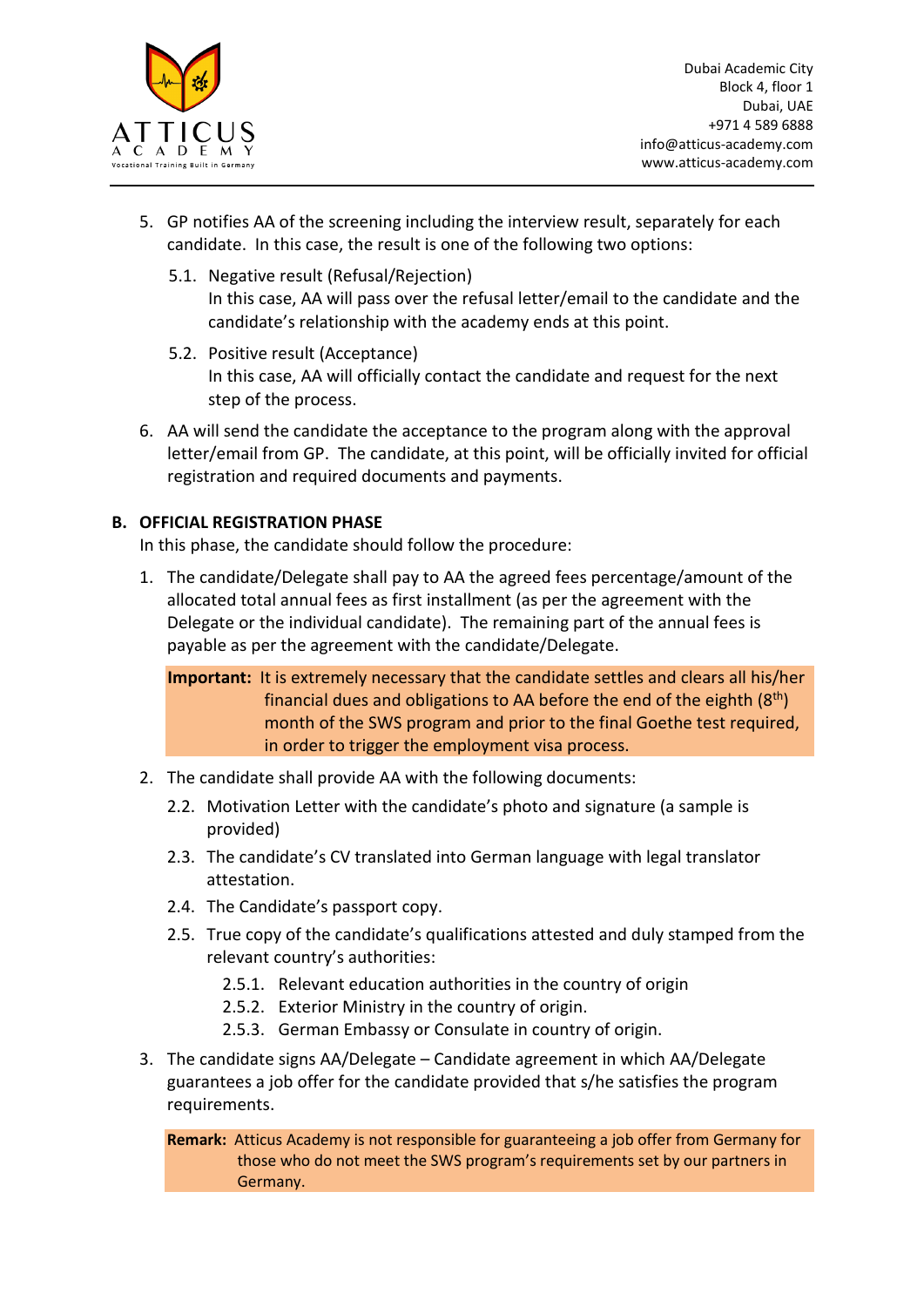

- 5. GP notifies AA of the screening including the interview result, separately for each candidate. In this case, the result is one of the following two options:
	- 5.1. Negative result (Refusal/Rejection) In this case, AA will pass over the refusal letter/email to the candidate and the candidate's relationship with the academy ends at this point.
	- 5.2. Positive result (Acceptance) In this case, AA will officially contact the candidate and request for the next step of the process.
- 6. AA will send the candidate the acceptance to the program along with the approval letter/email from GP. The candidate, at this point, will be officially invited for official registration and required documents and payments.

#### **B. OFFICIAL REGISTRATION PHASE**

In this phase, the candidate should follow the procedure:

1. The candidate/Delegate shall pay to AA the agreed fees percentage/amount of the allocated total annual fees as first installment (as per the agreement with the Delegate or the individual candidate). The remaining part of the annual fees is payable as per the agreement with the candidate/Delegate.

**Important:** It is extremely necessary that the candidate settles and clears all his/her financial dues and obligations to AA before the end of the eighth  $(8<sup>th</sup>)$ month of the SWS program and prior to the final Goethe test required, in order to trigger the employment visa process.

- 2. The candidate shall provide AA with the following documents:
	- 2.2. Motivation Letter with the candidate's photo and signature (a sample is provided)
	- 2.3. The candidate's CV translated into German language with legal translator attestation.
	- 2.4. The Candidate's passport copy.
	- 2.5. True copy of the candidate's qualifications attested and duly stamped from the relevant country's authorities:
		- 2.5.1. Relevant education authorities in the country of origin
		- 2.5.2. Exterior Ministry in the country of origin.
		- 2.5.3. German Embassy or Consulate in country of origin.
- 3. The candidate signs AA/Delegate Candidate agreement in which AA/Delegate guarantees a job offer for the candidate provided that s/he satisfies the program requirements.

**Remark:** Atticus Academy is not responsible for guaranteeing a job offer from Germany for those who do not meet the SWS program's requirements set by our partners in Germany.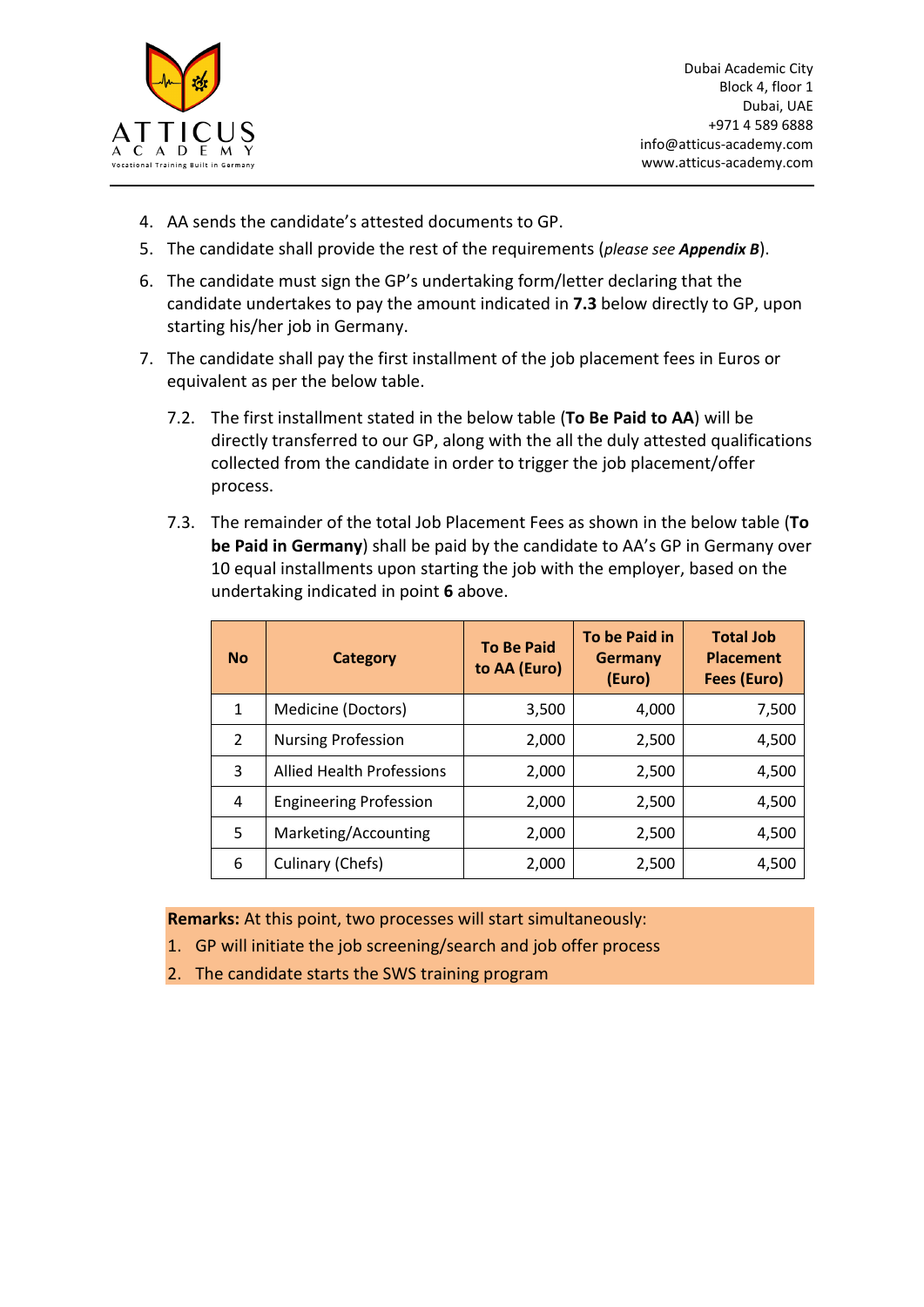

- 4. AA sends the candidate's attested documents to GP.
- 5. The candidate shall provide the rest of the requirements (*please see Appendix B*).
- 6. The candidate must sign the GP's undertaking form/letter declaring that the candidate undertakes to pay the amount indicated in **7.3** below directly to GP, upon starting his/her job in Germany.
- 7. The candidate shall pay the first installment of the job placement fees in Euros or equivalent as per the below table.
	- 7.2. The first installment stated in the below table (**To Be Paid to AA**) will be directly transferred to our GP, along with the all the duly attested qualifications collected from the candidate in order to trigger the job placement/offer process.
	- 7.3. The remainder of the total Job Placement Fees as shown in the below table (**To be Paid in Germany**) shall be paid by the candidate to AA's GP in Germany over 10 equal installments upon starting the job with the employer, based on the undertaking indicated in point **6** above.

| <b>No</b>     | <b>Category</b>                  | <b>To Be Paid</b><br>to AA (Euro) | To be Paid in<br><b>Germany</b><br>(Euro) | <b>Total Job</b><br><b>Placement</b><br>Fees (Euro) |
|---------------|----------------------------------|-----------------------------------|-------------------------------------------|-----------------------------------------------------|
| 1             | Medicine (Doctors)               | 3,500                             | 4,000                                     | 7,500                                               |
| $\mathcal{P}$ | <b>Nursing Profession</b>        | 2,000                             | 2,500                                     | 4,500                                               |
| 3             | <b>Allied Health Professions</b> | 2,000                             | 2,500                                     | 4,500                                               |
| 4             | <b>Engineering Profession</b>    | 2,000                             | 2,500                                     | 4,500                                               |
| 5             | Marketing/Accounting             | 2,000                             | 2,500                                     | 4,500                                               |
| 6             | Culinary (Chefs)                 | 2,000                             | 2,500                                     | 4,500                                               |

**Remarks:** At this point, two processes will start simultaneously:

- 1. GP will initiate the job screening/search and job offer process
- 2. The candidate starts the SWS training program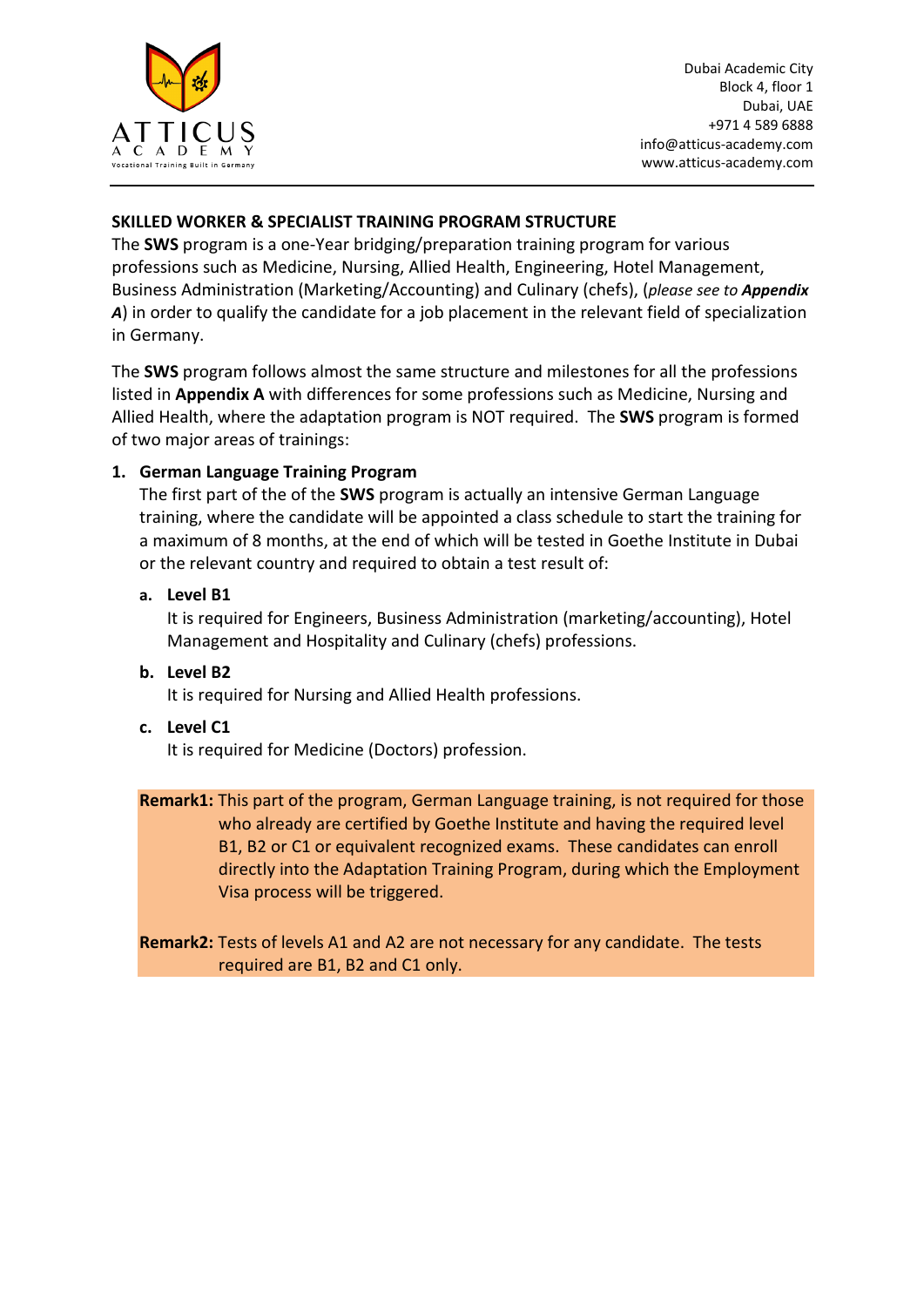

## **SKILLED WORKER & SPECIALIST TRAINING PROGRAM STRUCTURE**

The **SWS** program is a one-Year bridging/preparation training program for various professions such as Medicine, Nursing, Allied Health, Engineering, Hotel Management, Business Administration (Marketing/Accounting) and Culinary (chefs), (*please see to Appendix A*) in order to qualify the candidate for a job placement in the relevant field of specialization in Germany.

The **SWS** program follows almost the same structure and milestones for all the professions listed in **Appendix A** with differences for some professions such as Medicine, Nursing and Allied Health, where the adaptation program is NOT required. The **SWS** program is formed of two major areas of trainings:

## **1. German Language Training Program**

The first part of the of the **SWS** program is actually an intensive German Language training, where the candidate will be appointed a class schedule to start the training for a maximum of 8 months, at the end of which will be tested in Goethe Institute in Dubai or the relevant country and required to obtain a test result of:

## **a. Level B1**

It is required for Engineers, Business Administration (marketing/accounting), Hotel Management and Hospitality and Culinary (chefs) professions.

## **b. Level B2**

It is required for Nursing and Allied Health professions.

#### **c. Level C1**

It is required for Medicine (Doctors) profession.

**Remark1:** This part of the program, German Language training, is not required for those who already are certified by Goethe Institute and having the required level B1, B2 or C1 or equivalent recognized exams. These candidates can enroll directly into the Adaptation Training Program, during which the Employment Visa process will be triggered.

**Remark2:** Tests of levels A1 and A2 are not necessary for any candidate. The tests required are B1, B2 and C1 only.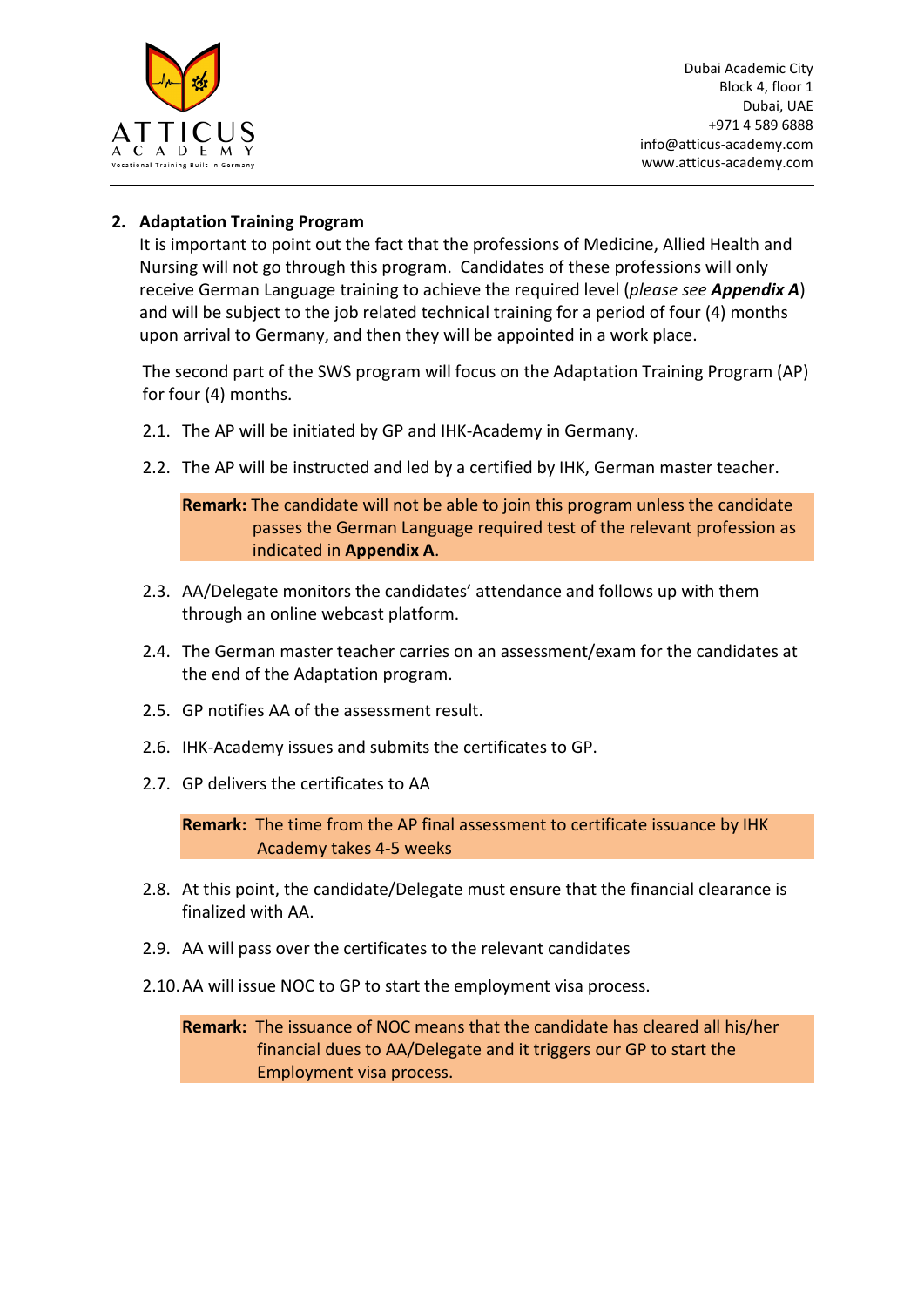

## **2. Adaptation Training Program**

It is important to point out the fact that the professions of Medicine, Allied Health and Nursing will not go through this program. Candidates of these professions will only receive German Language training to achieve the required level (*please see Appendix A*) and will be subject to the job related technical training for a period of four (4) months upon arrival to Germany, and then they will be appointed in a work place.

The second part of the SWS program will focus on the Adaptation Training Program (AP) for four (4) months.

- 2.1. The AP will be initiated by GP and IHK-Academy in Germany.
- 2.2. The AP will be instructed and led by a certified by IHK, German master teacher.

**Remark:** The candidate will not be able to join this program unless the candidate passes the German Language required test of the relevant profession as indicated in **Appendix A**.

- 2.3. AA/Delegate monitors the candidates' attendance and follows up with them through an online webcast platform.
- 2.4. The German master teacher carries on an assessment/exam for the candidates at the end of the Adaptation program.
- 2.5. GP notifies AA of the assessment result.
- 2.6. IHK-Academy issues and submits the certificates to GP.
- 2.7. GP delivers the certificates to AA

**Remark:** The time from the AP final assessment to certificate issuance by IHK Academy takes 4-5 weeks

- 2.8. At this point, the candidate/Delegate must ensure that the financial clearance is finalized with AA.
- 2.9. AA will pass over the certificates to the relevant candidates
- 2.10.AA will issue NOC to GP to start the employment visa process.

**Remark:** The issuance of NOC means that the candidate has cleared all his/her financial dues to AA/Delegate and it triggers our GP to start the Employment visa process.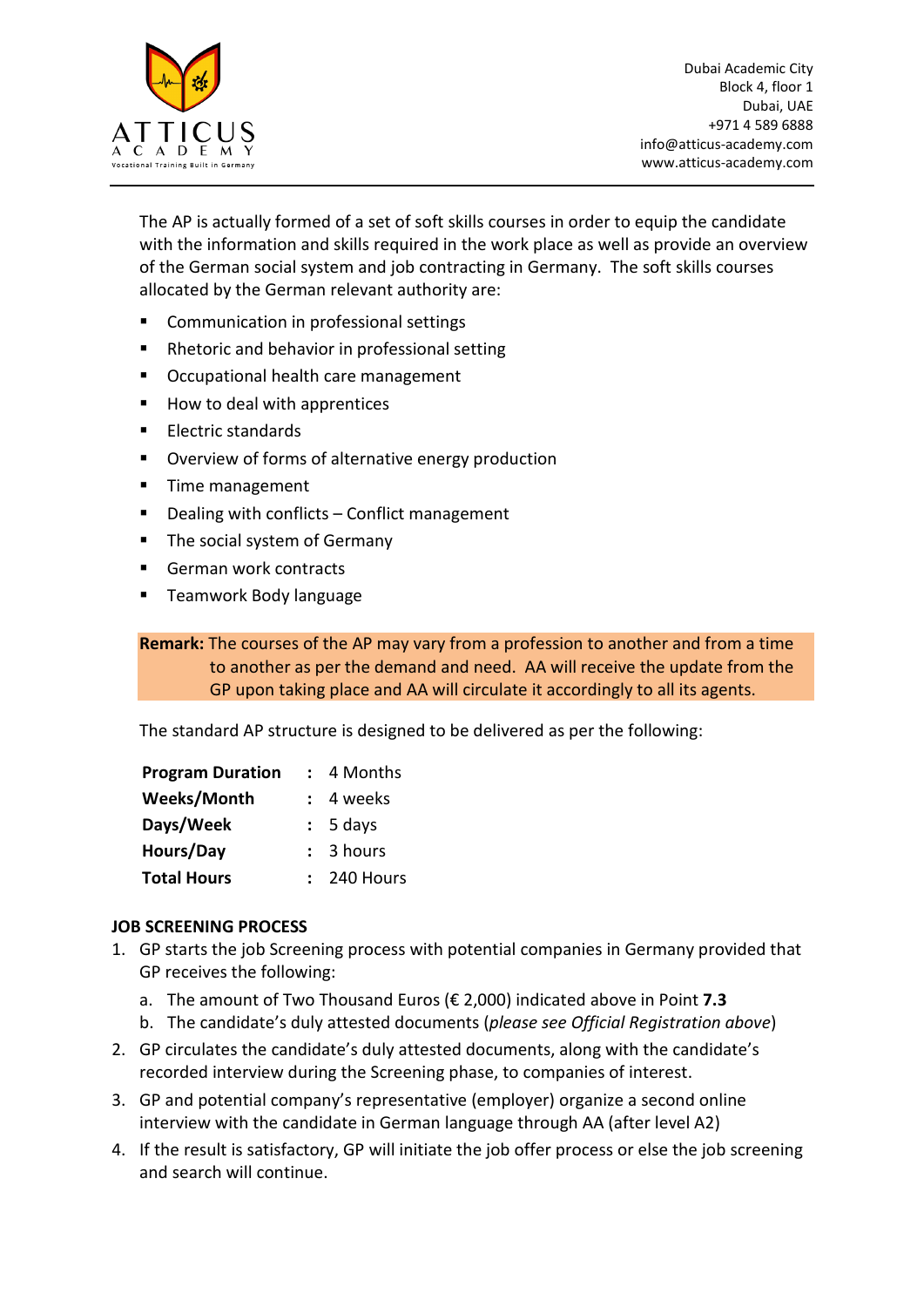

The AP is actually formed of a set of soft skills courses in order to equip the candidate with the information and skills required in the work place as well as provide an overview of the German social system and job contracting in Germany. The soft skills courses allocated by the German relevant authority are:

- **EXECOMMUNICATION IN PROFESSIONAL SETTINGS**
- Rhetoric and behavior in professional setting
- Occupational health care management
- How to deal with apprentices
- Electric standards
- **Diverview of forms of alternative energy production**
- **Time management**
- Dealing with conflicts Conflict management
- The social system of Germany
- German work contracts
- Teamwork Body language

**Remark:** The courses of the AP may vary from a profession to another and from a time to another as per the demand and need. AA will receive the update from the GP upon taking place and AA will circulate it accordingly to all its agents.

The standard AP structure is designed to be delivered as per the following:

| <b>Program Duration</b> | 4 Months    |
|-------------------------|-------------|
| Weeks/Month             | 4 weeks     |
| Days/Week               | $: 5$ days  |
| Hours/Day               | : 3 hours   |
| <b>Total Hours</b>      | : 240 Hours |

## **JOB SCREENING PROCESS**

- 1. GP starts the job Screening process with potential companies in Germany provided that GP receives the following:
	- a. The amount of Two Thousand Euros (€ 2,000) indicated above in Point **7.3**
	- b. The candidate's duly attested documents (*please see Official Registration above*)
- 2. GP circulates the candidate's duly attested documents, along with the candidate's recorded interview during the Screening phase, to companies of interest.
- 3. GP and potential company's representative (employer) organize a second online interview with the candidate in German language through AA (after level A2)
- 4. If the result is satisfactory, GP will initiate the job offer process or else the job screening and search will continue.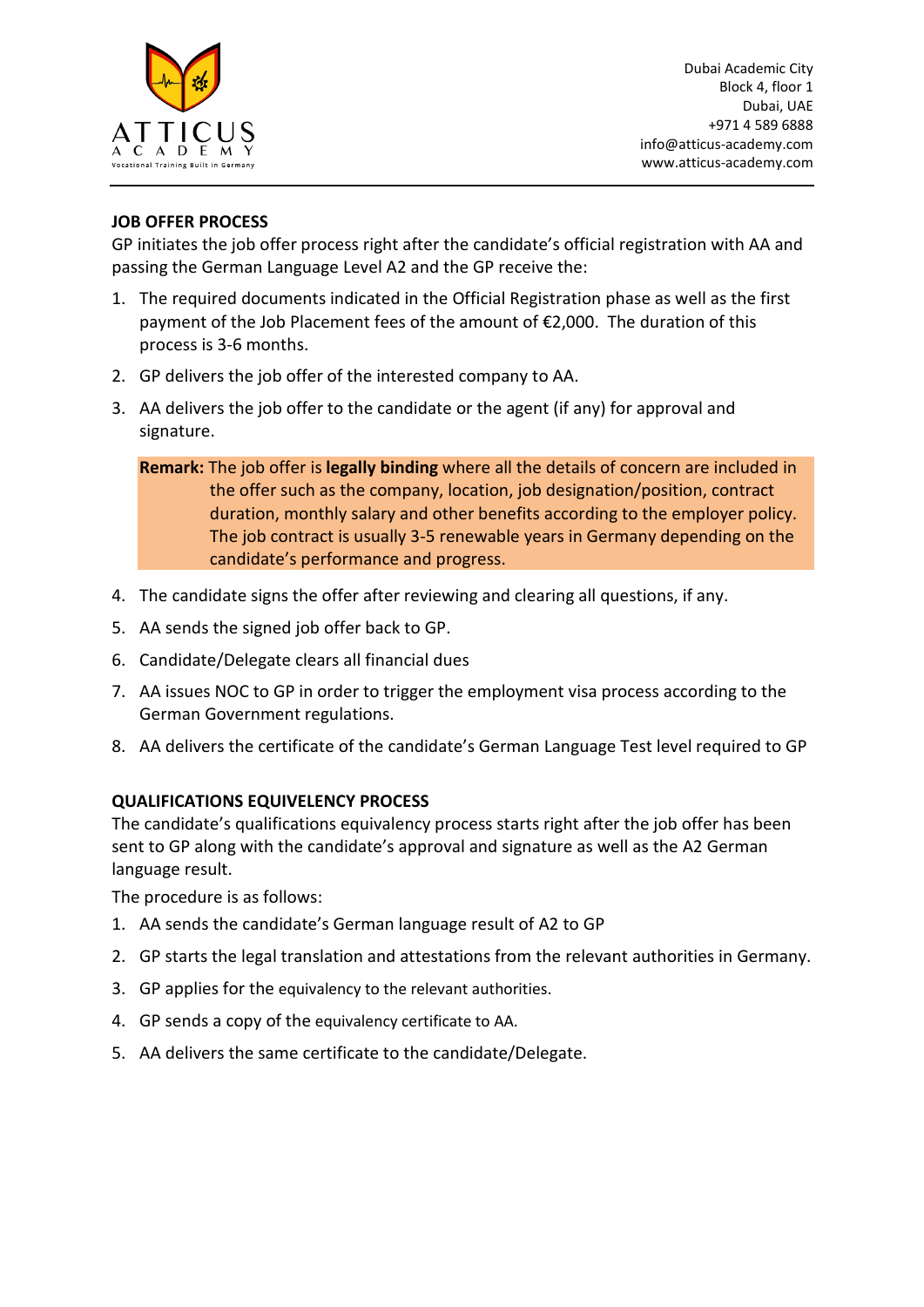

## **JOB OFFER PROCESS**

GP initiates the job offer process right after the candidate's official registration with AA and passing the German Language Level A2 and the GP receive the:

- 1. The required documents indicated in the Official Registration phase as well as the first payment of the Job Placement fees of the amount of €2,000. The duration of this process is 3-6 months.
- 2. GP delivers the job offer of the interested company to AA.
- 3. AA delivers the job offer to the candidate or the agent (if any) for approval and signature.

**Remark:** The job offer is **legally binding** where all the details of concern are included in the offer such as the company, location, job designation/position, contract duration, monthly salary and other benefits according to the employer policy. The job contract is usually 3-5 renewable years in Germany depending on the candidate's performance and progress.

- 4. The candidate signs the offer after reviewing and clearing all questions, if any.
- 5. AA sends the signed job offer back to GP.
- 6. Candidate/Delegate clears all financial dues
- 7. AA issues NOC to GP in order to trigger the employment visa process according to the German Government regulations.
- 8. AA delivers the certificate of the candidate's German Language Test level required to GP

## **QUALIFICATIONS EQUIVELENCY PROCESS**

The candidate's qualifications equivalency process starts right after the job offer has been sent to GP along with the candidate's approval and signature as well as the A2 German language result.

The procedure is as follows:

- 1. AA sends the candidate's German language result of A2 to GP
- 2. GP starts the legal translation and attestations from the relevant authorities in Germany.
- 3. GP applies for the equivalency to the relevant authorities.
- 4. GP sends a copy of the equivalency certificate to AA.
- 5. AA delivers the same certificate to the candidate/Delegate.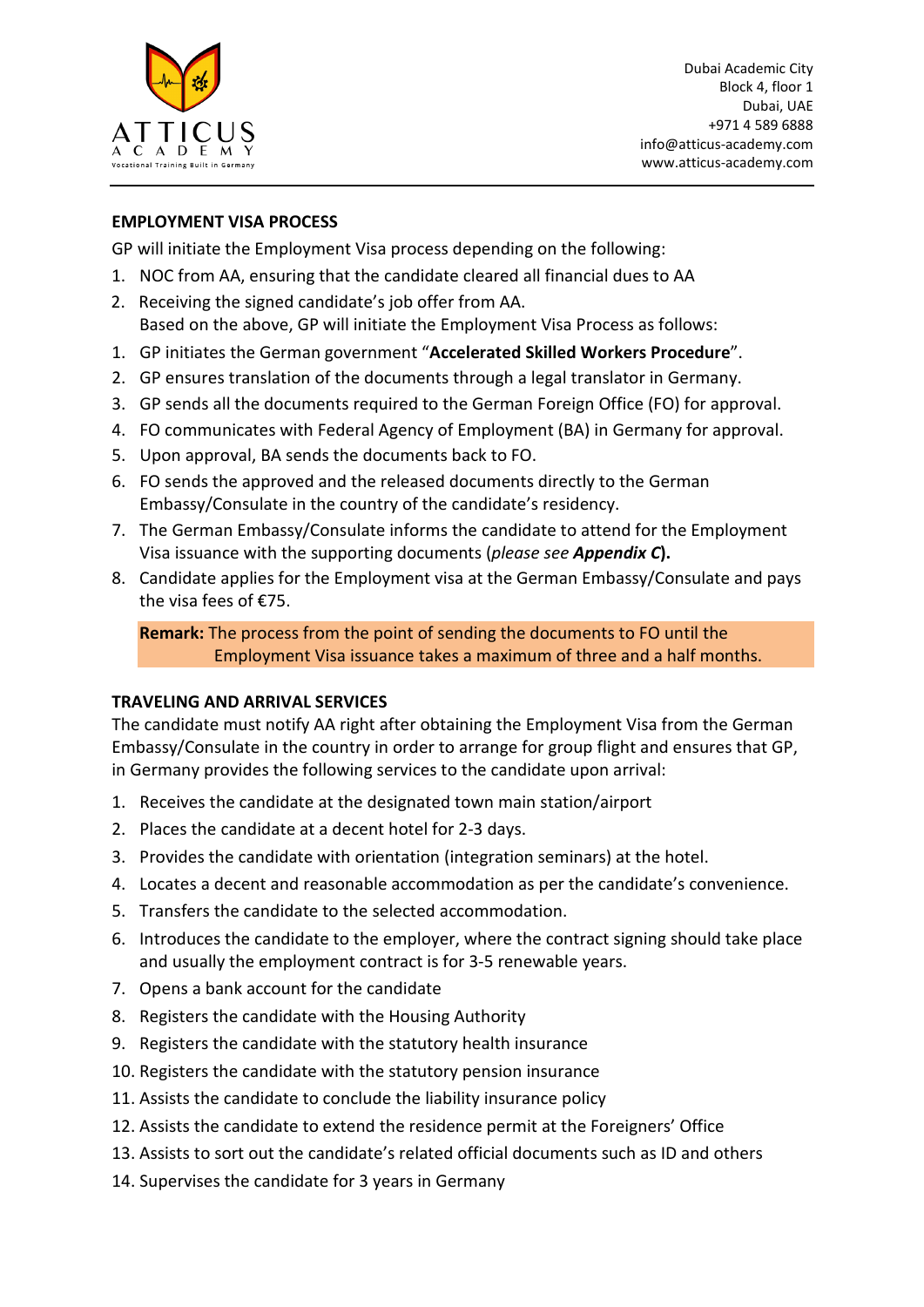

## **EMPLOYMENT VISA PROCESS**

GP will initiate the Employment Visa process depending on the following:

- 1. NOC from AA, ensuring that the candidate cleared all financial dues to AA
- 2. Receiving the signed candidate's job offer from AA. Based on the above, GP will initiate the Employment Visa Process as follows:
- 1. GP initiates the German government "**Accelerated Skilled Workers Procedure**".
- 2. GP ensures translation of the documents through a legal translator in Germany.
- 3. GP sends all the documents required to the German Foreign Office (FO) for approval.
- 4. FO communicates with Federal Agency of Employment (BA) in Germany for approval.
- 5. Upon approval, BA sends the documents back to FO.
- 6. FO sends the approved and the released documents directly to the German Embassy/Consulate in the country of the candidate's residency.
- 7. The German Embassy/Consulate informs the candidate to attend for the Employment Visa issuance with the supporting documents (*please see Appendix C***).**
- 8. Candidate applies for the Employment visa at the German Embassy/Consulate and pays the visa fees of €75.

**Remark:** The process from the point of sending the documents to FO until the Employment Visa issuance takes a maximum of three and a half months.

#### **TRAVELING AND ARRIVAL SERVICES**

The candidate must notify AA right after obtaining the Employment Visa from the German Embassy/Consulate in the country in order to arrange for group flight and ensures that GP, in Germany provides the following services to the candidate upon arrival:

- 1. Receives the candidate at the designated town main station/airport
- 2. Places the candidate at a decent hotel for 2-3 days.
- 3. Provides the candidate with orientation (integration seminars) at the hotel.
- 4. Locates a decent and reasonable accommodation as per the candidate's convenience.
- 5. Transfers the candidate to the selected accommodation.
- 6. Introduces the candidate to the employer, where the contract signing should take place and usually the employment contract is for 3-5 renewable years.
- 7. Opens a bank account for the candidate
- 8. Registers the candidate with the Housing Authority
- 9. Registers the candidate with the statutory health insurance
- 10. Registers the candidate with the statutory pension insurance
- 11. Assists the candidate to conclude the liability insurance policy
- 12. Assists the candidate to extend the residence permit at the Foreigners' Office
- 13. Assists to sort out the candidate's related official documents such as ID and others
- 14. Supervises the candidate for 3 years in Germany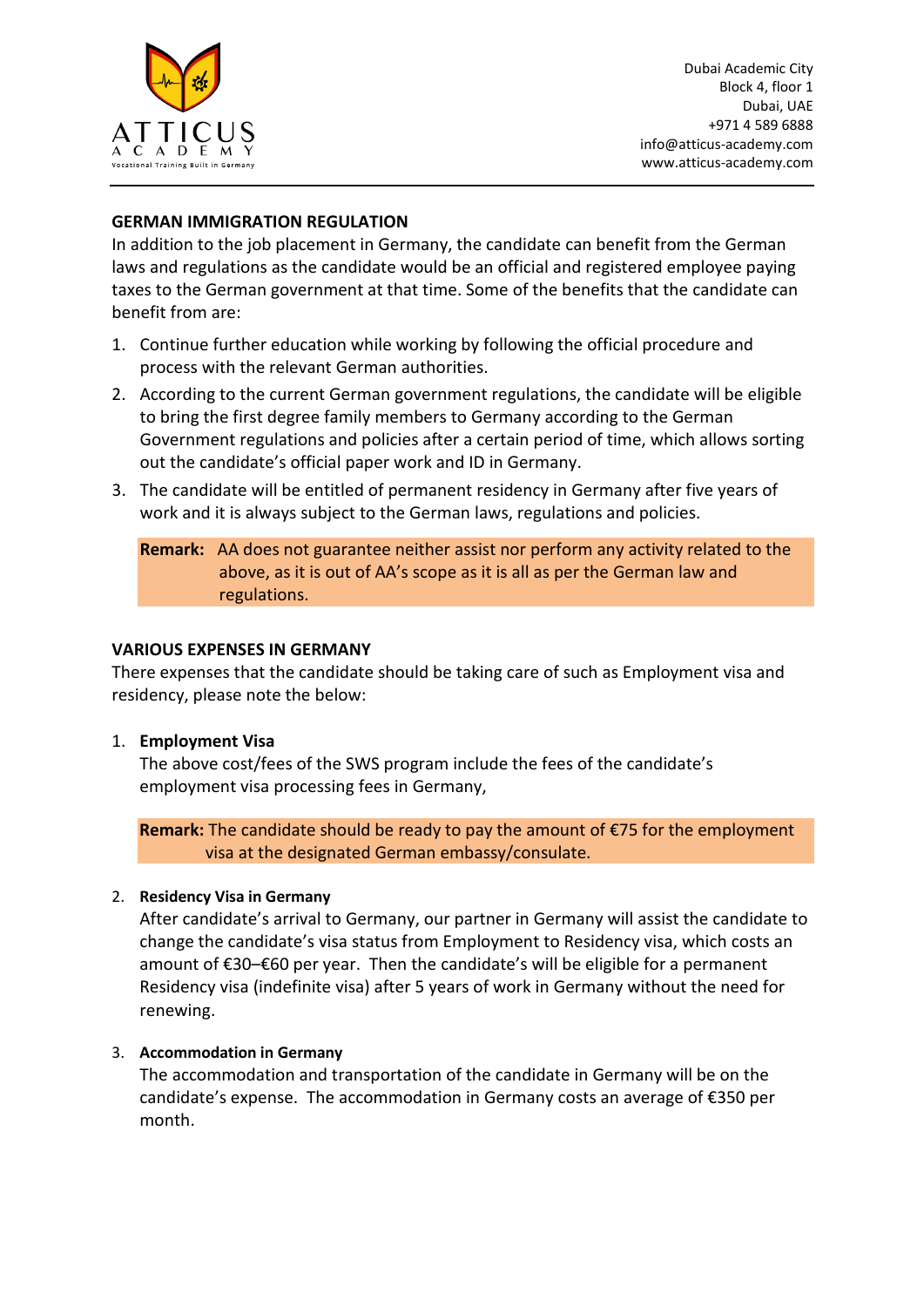

## **GERMAN IMMIGRATION REGULATION**

In addition to the job placement in Germany, the candidate can benefit from the German laws and regulations as the candidate would be an official and registered employee paying taxes to the German government at that time. Some of the benefits that the candidate can benefit from are:

- 1. Continue further education while working by following the official procedure and process with the relevant German authorities.
- 2. According to the current German government regulations, the candidate will be eligible to bring the first degree family members to Germany according to the German Government regulations and policies after a certain period of time, which allows sorting out the candidate's official paper work and ID in Germany.
- 3. The candidate will be entitled of permanent residency in Germany after five years of work and it is always subject to the German laws, regulations and policies.

**Remark:** AA does not guarantee neither assist nor perform any activity related to the above, as it is out of AA's scope as it is all as per the German law and regulations.

#### **VARIOUS EXPENSES IN GERMANY**

There expenses that the candidate should be taking care of such as Employment visa and residency, please note the below:

#### 1. **Employment Visa**

The above cost/fees of the SWS program include the fees of the candidate's employment visa processing fees in Germany,

**Remark:** The candidate should be ready to pay the amount of €75 for the employment visa at the designated German embassy/consulate.

## 2. **Residency Visa in Germany**

After candidate's arrival to Germany, our partner in Germany will assist the candidate to change the candidate's visa status from Employment to Residency visa, which costs an amount of €30–€60 per year. Then the candidate's will be eligible for a permanent Residency visa (indefinite visa) after 5 years of work in Germany without the need for renewing.

#### 3. **Accommodation in Germany**

The accommodation and transportation of the candidate in Germany will be on the candidate's expense. The accommodation in Germany costs an average of €350 per month.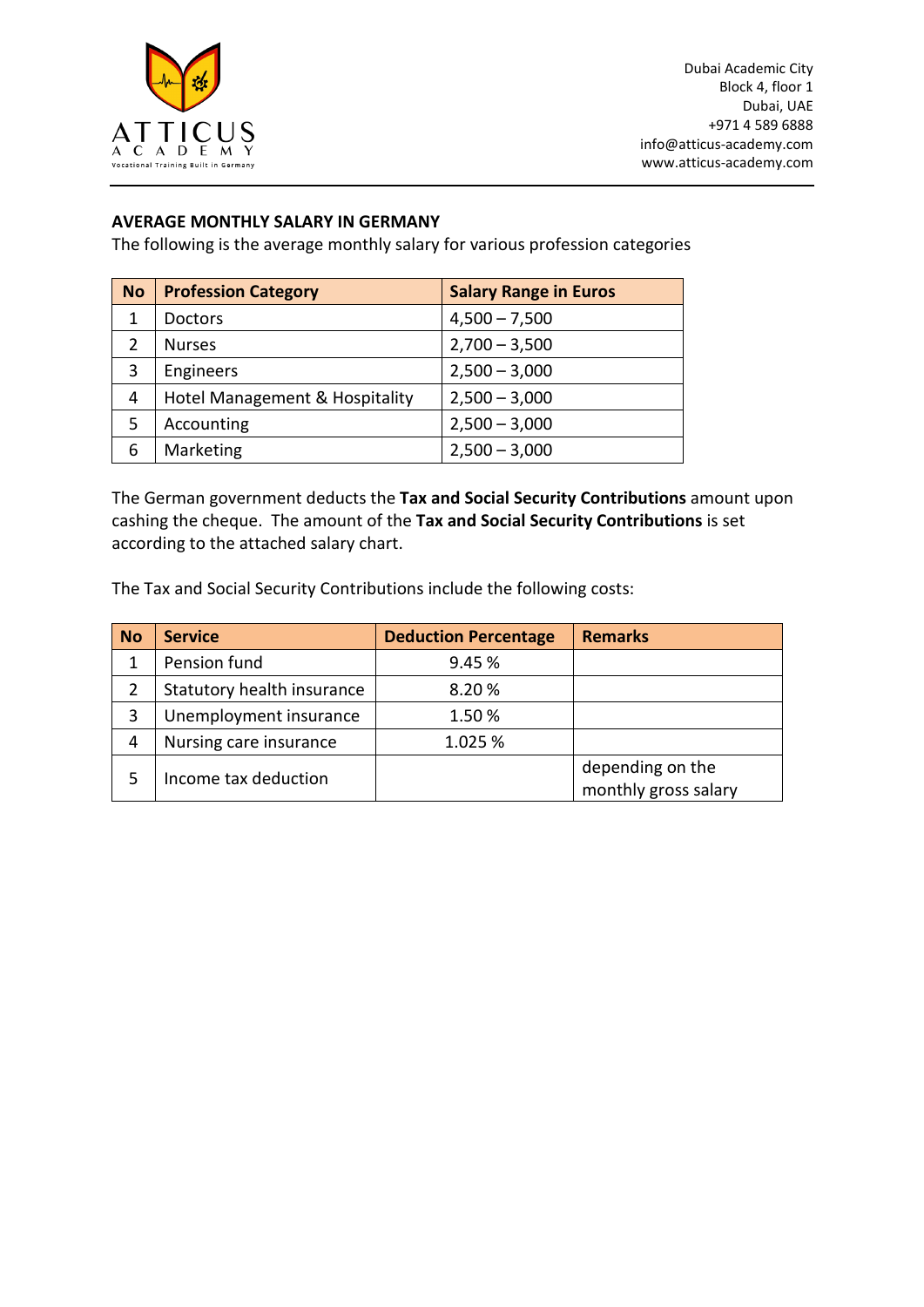

## **AVERAGE MONTHLY SALARY IN GERMANY**

The following is the average monthly salary for various profession categories

| <b>No</b> | <b>Profession Category</b>     | <b>Salary Range in Euros</b> |
|-----------|--------------------------------|------------------------------|
| 1         | <b>Doctors</b>                 | $4,500 - 7,500$              |
| 2         | <b>Nurses</b>                  | $2,700 - 3,500$              |
| 3         | <b>Engineers</b>               | $2,500 - 3,000$              |
| 4         | Hotel Management & Hospitality | $2,500 - 3,000$              |
| 5         | Accounting                     | $2,500 - 3,000$              |
| 6         | Marketing                      | $2,500 - 3,000$              |

The German government deducts the **Tax and Social Security Contributions** amount upon cashing the cheque. The amount of the **Tax and Social Security Contributions** is set according to the attached salary chart.

The Tax and Social Security Contributions include the following costs:

| <b>No</b> | <b>Service</b>             | <b>Deduction Percentage</b> | <b>Remarks</b>                           |
|-----------|----------------------------|-----------------------------|------------------------------------------|
| 1         | Pension fund               | 9.45 %                      |                                          |
| 2         | Statutory health insurance | 8.20%                       |                                          |
| 3         | Unemployment insurance     | 1.50%                       |                                          |
| 4         | Nursing care insurance     | 1.025 %                     |                                          |
|           | Income tax deduction       |                             | depending on the<br>monthly gross salary |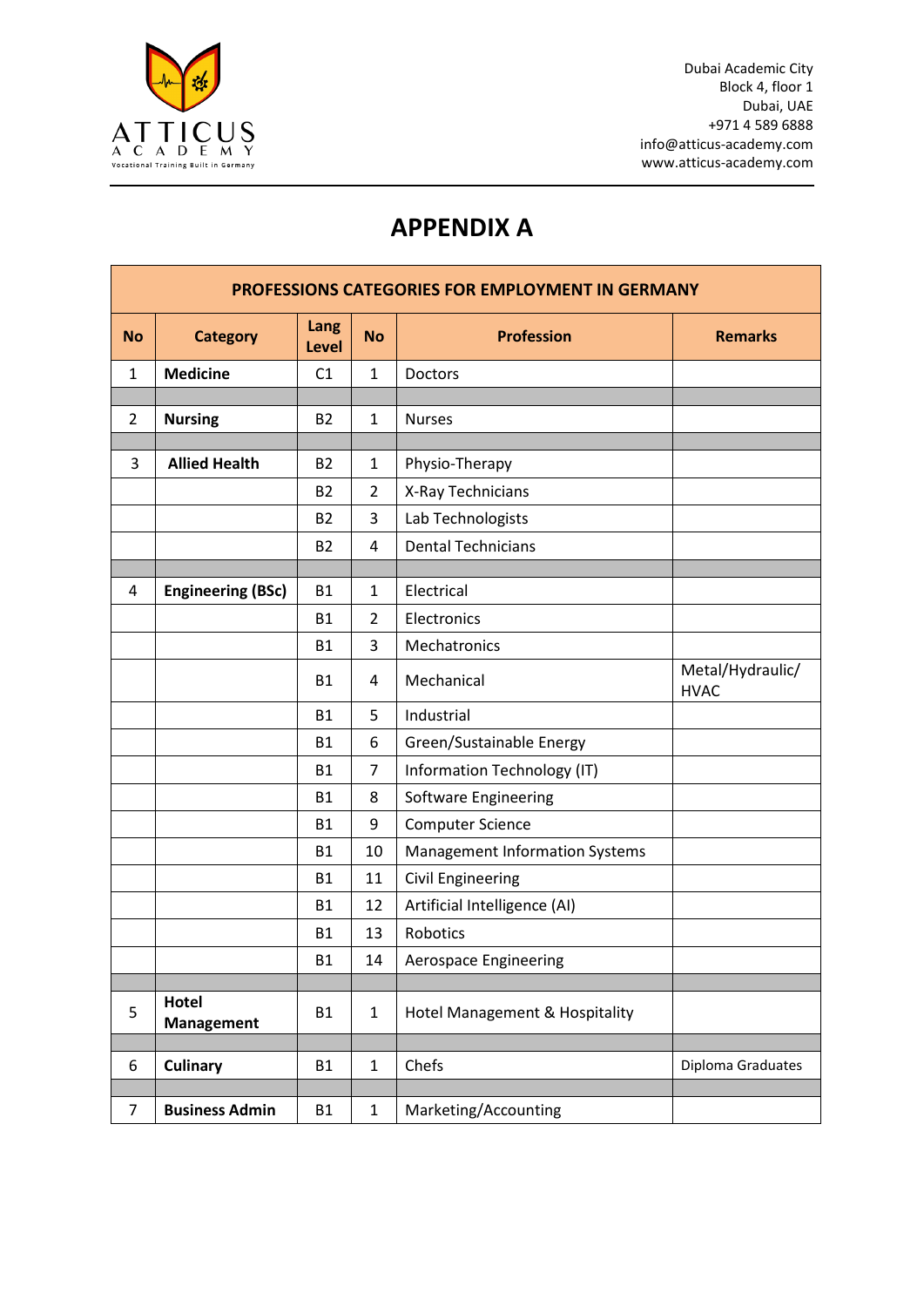

# **APPENDIX A**

| <b>PROFESSIONS CATEGORIES FOR EMPLOYMENT IN GERMANY</b> |                            |                |                |                                       |                                 |
|---------------------------------------------------------|----------------------------|----------------|----------------|---------------------------------------|---------------------------------|
| <b>No</b>                                               | <b>Category</b>            | Lang<br>Level  | <b>No</b>      | <b>Profession</b>                     | <b>Remarks</b>                  |
| $\mathbf{1}$                                            | <b>Medicine</b>            | C1             | $\mathbf{1}$   | Doctors                               |                                 |
|                                                         |                            |                |                |                                       |                                 |
| $\overline{2}$                                          | <b>Nursing</b>             | <b>B2</b>      | $\mathbf{1}$   | <b>Nurses</b>                         |                                 |
| 3                                                       | <b>Allied Health</b>       | <b>B2</b>      | 1              | Physio-Therapy                        |                                 |
|                                                         |                            | B <sub>2</sub> | $\overline{2}$ | X-Ray Technicians                     |                                 |
|                                                         |                            | <b>B2</b>      | 3              | Lab Technologists                     |                                 |
|                                                         |                            | <b>B2</b>      | 4              | <b>Dental Technicians</b>             |                                 |
|                                                         |                            |                |                |                                       |                                 |
| $\overline{4}$                                          | <b>Engineering (BSc)</b>   | <b>B1</b>      | $\mathbf{1}$   | Electrical                            |                                 |
|                                                         |                            | <b>B1</b>      | $\overline{2}$ | Electronics                           |                                 |
|                                                         |                            | <b>B1</b>      | 3              | Mechatronics                          |                                 |
|                                                         |                            | <b>B1</b>      | 4              | Mechanical                            | Metal/Hydraulic/<br><b>HVAC</b> |
|                                                         |                            | <b>B1</b>      | 5              | Industrial                            |                                 |
|                                                         |                            | B1             | 6              | Green/Sustainable Energy              |                                 |
|                                                         |                            | <b>B1</b>      | 7              | Information Technology (IT)           |                                 |
|                                                         |                            | <b>B1</b>      | 8              | Software Engineering                  |                                 |
|                                                         |                            | <b>B1</b>      | 9              | <b>Computer Science</b>               |                                 |
|                                                         |                            | <b>B1</b>      | 10             | <b>Management Information Systems</b> |                                 |
|                                                         |                            | <b>B1</b>      | 11             | <b>Civil Engineering</b>              |                                 |
|                                                         |                            | <b>B1</b>      | 12             | Artificial Intelligence (AI)          |                                 |
|                                                         |                            | <b>B1</b>      | 13             | <b>Robotics</b>                       |                                 |
|                                                         |                            | <b>B1</b>      | 14             | Aerospace Engineering                 |                                 |
|                                                         |                            |                |                |                                       |                                 |
| 5                                                       | Hotel<br><b>Management</b> | <b>B1</b>      | $\mathbf{1}$   | Hotel Management & Hospitality        |                                 |
| 6                                                       | <b>Culinary</b>            | <b>B1</b>      | $\mathbf{1}$   | Chefs                                 |                                 |
|                                                         |                            |                |                |                                       | Diploma Graduates               |
| $\overline{7}$                                          | <b>Business Admin</b>      | <b>B1</b>      | $\mathbf 1$    | Marketing/Accounting                  |                                 |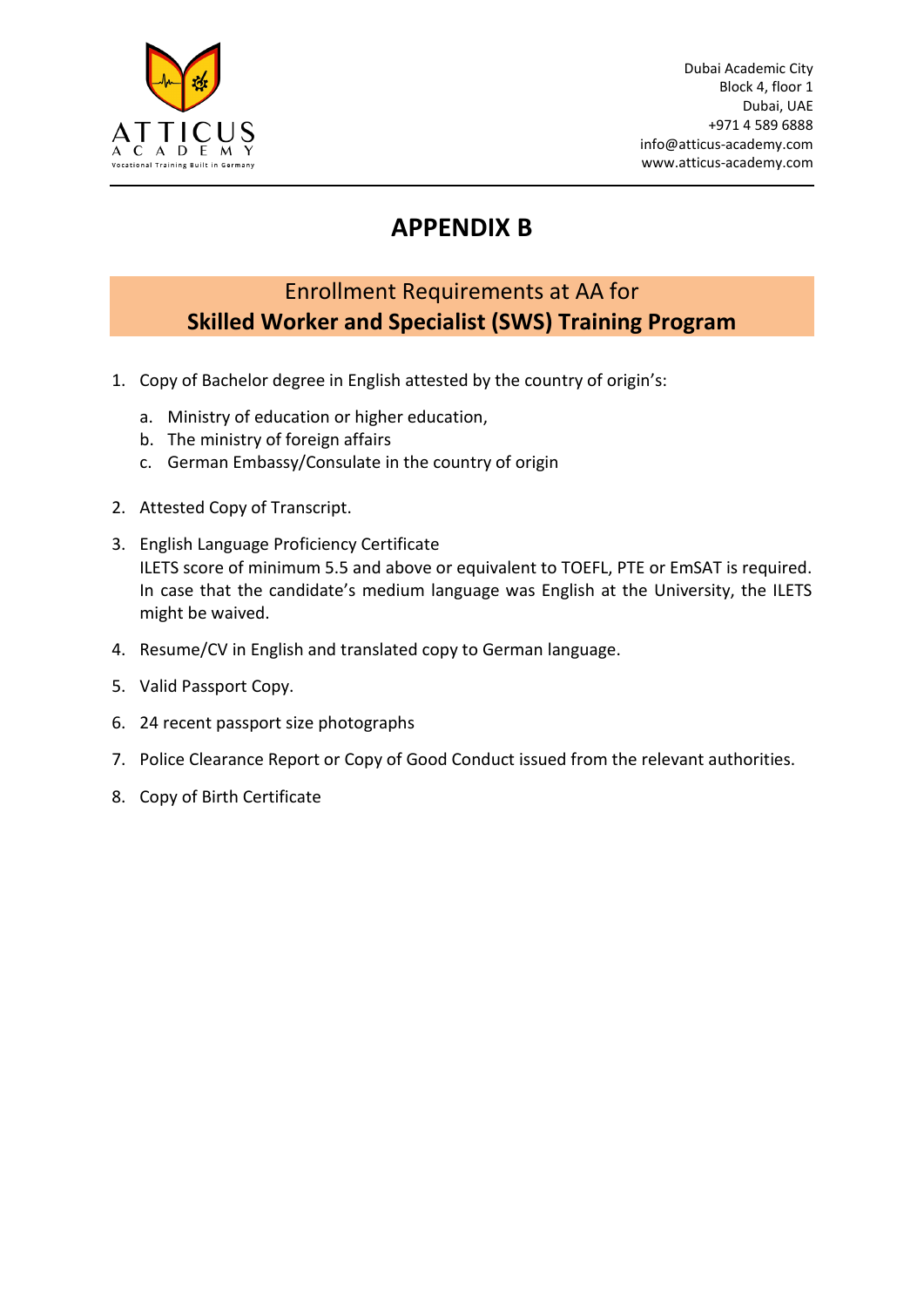

# **APPENDIX B**

## Enrollment Requirements at AA for **Skilled Worker and Specialist (SWS) Training Program**

- 1. Copy of Bachelor degree in English attested by the country of origin's:
	- a. Ministry of education or higher education,
	- b. The ministry of foreign affairs
	- c. German Embassy/Consulate in the country of origin
- 2. Attested Copy of Transcript.
- 3. English Language Proficiency Certificate ILETS score of minimum 5.5 and above or equivalent to TOEFL, PTE or EmSAT is required. In case that the candidate's medium language was English at the University, the ILETS might be waived.
- 4. Resume/CV in English and translated copy to German language.
- 5. Valid Passport Copy.
- 6. 24 recent passport size photographs
- 7. Police Clearance Report or Copy of Good Conduct issued from the relevant authorities.
- 8. Copy of Birth Certificate